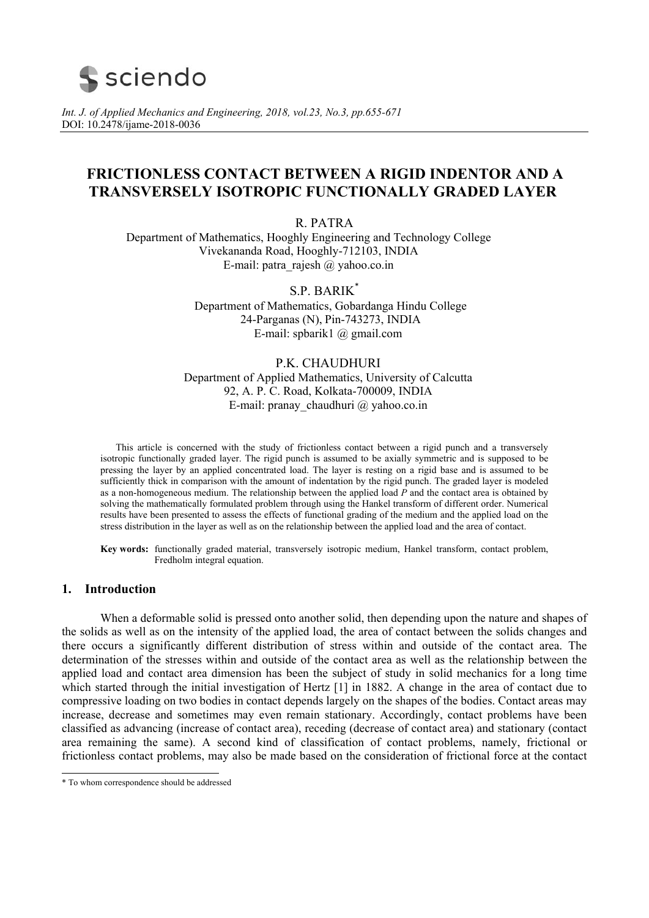

*Int. J. of Applied Mechanics and Engineering, 2018, vol.23, No.3, pp.655-671*  DOI: 10.2478/ijame-2018-0036

# **FRICTIONLESS CONTACT BETWEEN A RIGID INDENTOR AND A TRANSVERSELY ISOTROPIC FUNCTIONALLY GRADED LAYER**

R. PATRA

Department of Mathematics, Hooghly Engineering and Technology College Vivekananda Road, Hooghly-712103, INDIA E-mail: patra\_rajesh  $\omega$  yahoo.co.in

> S.P. BARIK\* Department of Mathematics, Gobardanga Hindu College 24-Parganas (N), Pin-743273, INDIA E-mail: spbarik1 @ gmail.com

## P.K. CHAUDHURI

Department of Applied Mathematics, University of Calcutta 92, A. P. C. Road, Kolkata-700009, INDIA E-mail: pranay\_chaudhuri @ yahoo.co.in

This article is concerned with the study of frictionless contact between a rigid punch and a transversely isotropic functionally graded layer. The rigid punch is assumed to be axially symmetric and is supposed to be pressing the layer by an applied concentrated load. The layer is resting on a rigid base and is assumed to be sufficiently thick in comparison with the amount of indentation by the rigid punch. The graded layer is modeled as a non-homogeneous medium. The relationship between the applied load *P* and the contact area is obtained by solving the mathematically formulated problem through using the Hankel transform of different order. Numerical results have been presented to assess the effects of functional grading of the medium and the applied load on the stress distribution in the layer as well as on the relationship between the applied load and the area of contact.

**Key words:** functionally graded material, transversely isotropic medium, Hankel transform, contact problem, Fredholm integral equation.

# **1. Introduction**

 When a deformable solid is pressed onto another solid, then depending upon the nature and shapes of the solids as well as on the intensity of the applied load, the area of contact between the solids changes and there occurs a significantly different distribution of stress within and outside of the contact area. The determination of the stresses within and outside of the contact area as well as the relationship between the applied load and contact area dimension has been the subject of study in solid mechanics for a long time which started through the initial investigation of Hertz [1] in 1882. A change in the area of contact due to compressive loading on two bodies in contact depends largely on the shapes of the bodies. Contact areas may increase, decrease and sometimes may even remain stationary. Accordingly, contact problems have been classified as advancing (increase of contact area), receding (decrease of contact area) and stationary (contact area remaining the same). A second kind of classification of contact problems, namely, frictional or frictionless contact problems, may also be made based on the consideration of frictional force at the contact

 \* To whom correspondence should be addressed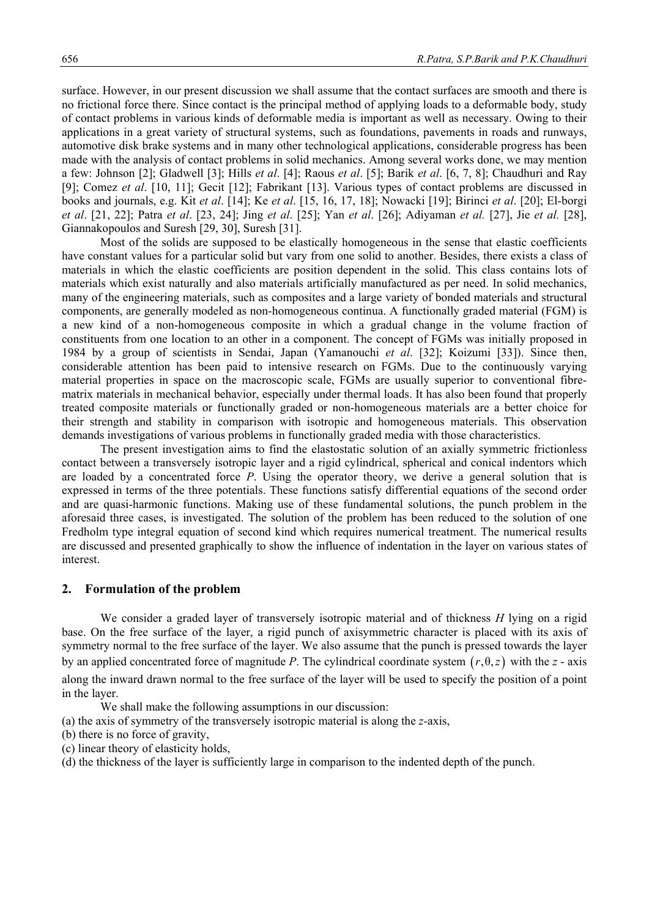surface. However, in our present discussion we shall assume that the contact surfaces are smooth and there is no frictional force there. Since contact is the principal method of applying loads to a deformable body, study of contact problems in various kinds of deformable media is important as well as necessary. Owing to their applications in a great variety of structural systems, such as foundations, pavements in roads and runways, automotive disk brake systems and in many other technological applications, considerable progress has been made with the analysis of contact problems in solid mechanics. Among several works done, we may mention a few: Johnson [2]; Gladwell [3]; Hills *et al*. [4]; Raous *et al*. [5]; Barik *et al*. [6, 7, 8]; Chaudhuri and Ray [9]; Comez *et al*. [10, 11]; Gecit [12]; Fabrikant [13]. Various types of contact problems are discussed in books and journals, e.g. Kit *et al*. [14]; Ke *et al*. [15, 16, 17, 18]; Nowacki [19]; Birinci *et al*. [20]; El-borgi *et al*. [21, 22]; Patra *et al*. [23, 24]; Jing *et al*. [25]; Yan *et al*. [26]; Adiyaman *et al.* [27], Jie *et al.* [28], Giannakopoulos and Suresh [29, 30], Suresh [31].

 Most of the solids are supposed to be elastically homogeneous in the sense that elastic coefficients have constant values for a particular solid but vary from one solid to another. Besides, there exists a class of materials in which the elastic coefficients are position dependent in the solid. This class contains lots of materials which exist naturally and also materials artificially manufactured as per need. In solid mechanics, many of the engineering materials, such as composites and a large variety of bonded materials and structural components, are generally modeled as non-homogeneous continua. A functionally graded material (FGM) is a new kind of a non-homogeneous composite in which a gradual change in the volume fraction of constituents from one location to an other in a component. The concept of FGMs was initially proposed in 1984 by a group of scientists in Sendai, Japan (Yamanouchi *et al*. [32]; Koizumi [33]). Since then, considerable attention has been paid to intensive research on FGMs. Due to the continuously varying material properties in space on the macroscopic scale, FGMs are usually superior to conventional fibrematrix materials in mechanical behavior, especially under thermal loads. It has also been found that properly treated composite materials or functionally graded or non-homogeneous materials are a better choice for their strength and stability in comparison with isotropic and homogeneous materials. This observation demands investigations of various problems in functionally graded media with those characteristics.

 The present investigation aims to find the elastostatic solution of an axially symmetric frictionless contact between a transversely isotropic layer and a rigid cylindrical, spherical and conical indentors which are loaded by a concentrated force *P*. Using the operator theory, we derive a general solution that is expressed in terms of the three potentials. These functions satisfy differential equations of the second order and are quasi-harmonic functions. Making use of these fundamental solutions, the punch problem in the aforesaid three cases, is investigated. The solution of the problem has been reduced to the solution of one Fredholm type integral equation of second kind which requires numerical treatment. The numerical results are discussed and presented graphically to show the influence of indentation in the layer on various states of interest.

# **2. Formulation of the problem**

 We consider a graded layer of transversely isotropic material and of thickness *H* lying on a rigid base. On the free surface of the layer, a rigid punch of axisymmetric character is placed with its axis of symmetry normal to the free surface of the layer. We also assume that the punch is pressed towards the layer by an applied concentrated force of magnitude *P*. The cylindrical coordinate system  $(r, \theta, z)$  with the *z* - axis along the inward drawn normal to the free surface of the layer will be used to specify the position of a point in the layer.

We shall make the following assumptions in our discussion:

(a) the axis of symmetry of the transversely isotropic material is along the *z-*axis,

- (b) there is no force of gravity,
- (c) linear theory of elasticity holds,

(d) the thickness of the layer is sufficiently large in comparison to the indented depth of the punch.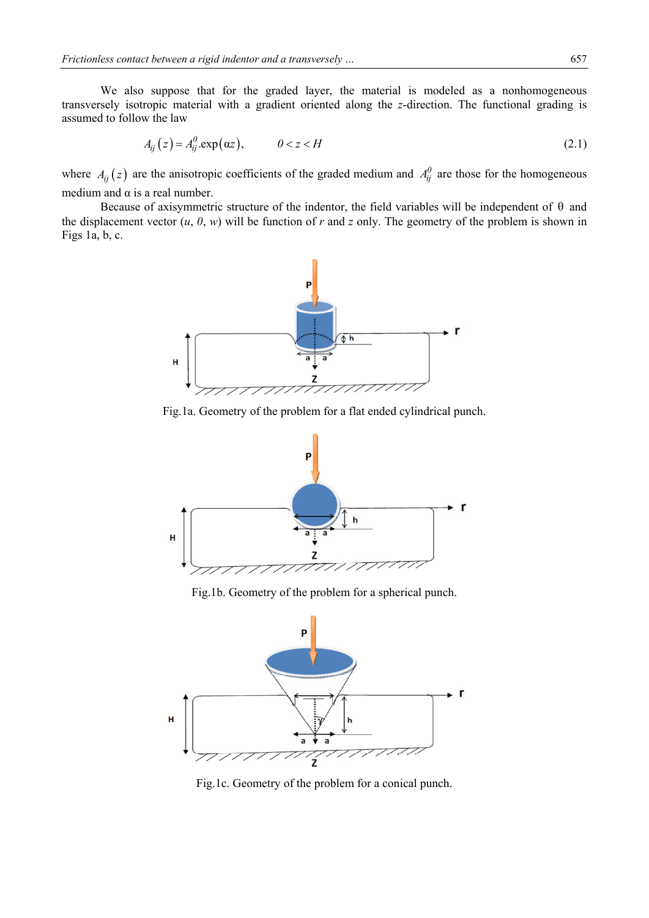We also suppose that for the graded layer, the material is modeled as a nonhomogeneous transversely isotropic material with a gradient oriented along the *z*-direction. The functional grading is assumed to follow the law

$$
A_{ij}(z) = A_{ij}^0 \exp(\alpha z), \qquad 0 < z < H \tag{2.1}
$$

where  $A_{ij}(z)$  are the anisotropic coefficients of the graded medium and  $A_{ij}^0$  are those for the homogeneous medium and  $\alpha$  is a real number.

Because of axisymmetric structure of the indentor, the field variables will be independent of  $\theta$  and the displacement vector  $(u, 0, w)$  will be function of  $r$  and  $z$  only. The geometry of the problem is shown in Figs 1a, b, c.



Fig.1a. Geometry of the problem for a flat ended cylindrical punch.



Fig.1b. Geometry of the problem for a spherical punch.



Fig.1c. Geometry of the problem for a conical punch.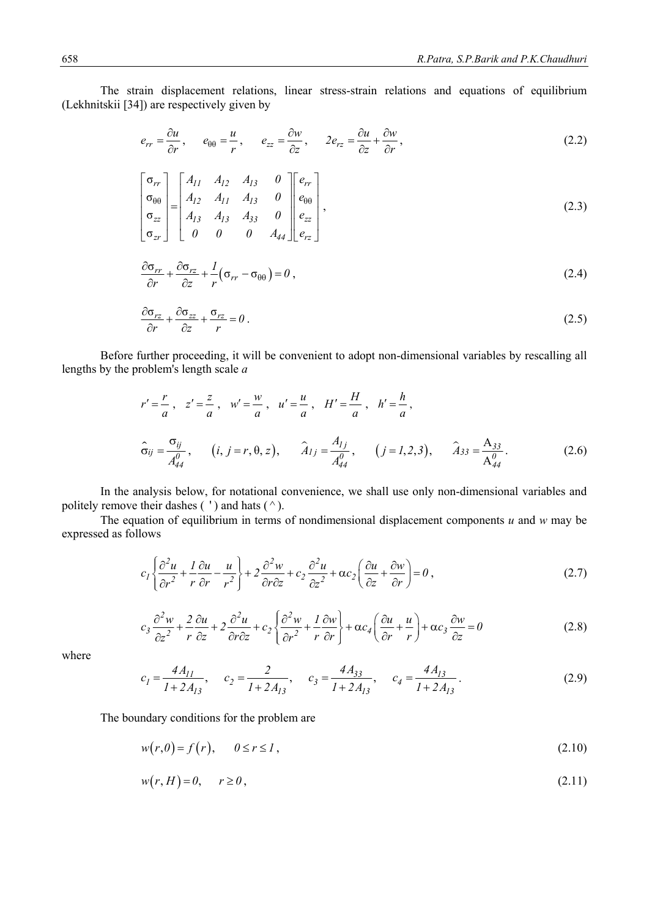The strain displacement relations, linear stress-strain relations and equations of equilibrium (Lekhnitskii [34]) are respectively given by

$$
e_{rr} = \frac{\partial u}{\partial r}, \qquad e_{\theta\theta} = \frac{u}{r}, \qquad e_{zz} = \frac{\partial w}{\partial z}, \qquad 2e_{rz} = \frac{\partial u}{\partial z} + \frac{\partial w}{\partial r}, \tag{2.2}
$$

$$
\begin{bmatrix}\n\sigma_{rr} \\
\sigma_{\theta\theta} \\
\sigma_{zz} \\
\sigma_{zr}\n\end{bmatrix} = \begin{bmatrix}\nA_{11} & A_{12} & A_{13} & 0 \\
A_{12} & A_{11} & A_{13} & 0 \\
A_{13} & A_{13} & A_{33} & 0 \\
0 & 0 & 0 & A_{44}\n\end{bmatrix} \begin{bmatrix}\ne_{rr} \\
e_{\theta\theta} \\
e_{zz} \\
e_{rz}\n\end{bmatrix},
$$
\n(2.3)

$$
\frac{\partial \sigma_{rr}}{\partial r} + \frac{\partial \sigma_{rz}}{\partial z} + \frac{1}{r} (\sigma_{rr} - \sigma_{\theta\theta}) = 0 , \qquad (2.4)
$$

$$
\frac{\partial \sigma_{rz}}{\partial r} + \frac{\partial \sigma_{zz}}{\partial z} + \frac{\sigma_{rz}}{r} = 0.
$$
\n(2.5)

 Before further proceeding, it will be convenient to adopt non-dimensional variables by rescalling all lengths by the problem's length scale *a*

$$
r' = \frac{r}{a}, \quad z' = \frac{z}{a}, \quad w' = \frac{w}{a}, \quad u' = \frac{u}{a}, \quad H' = \frac{H}{a}, \quad h' = \frac{h}{a},
$$
  

$$
\hat{\sigma}_{ij} = \frac{\sigma_{ij}}{A_{44}^0}, \qquad (i, j = r, \theta, z), \qquad \hat{A}_{1j} = \frac{A_{1j}}{A_{44}^0}, \qquad (j = 1, 2, 3), \qquad \hat{A}_{33} = \frac{A_{33}}{A_{44}^0}.
$$
 (2.6)

 In the analysis below, for notational convenience, we shall use only non-dimensional variables and politely remove their dashes  $( ' )$  and hats  $( ^{\wedge} ).$ 

 The equation of equilibrium in terms of nondimensional displacement components *u* and *w* may be expressed as follows

$$
c_1 \left\{ \frac{\partial^2 u}{\partial r^2} + \frac{1}{r} \frac{\partial u}{\partial r} - \frac{u}{r^2} \right\} + 2 \frac{\partial^2 w}{\partial r \partial z} + c_2 \frac{\partial^2 u}{\partial z^2} + \alpha c_2 \left( \frac{\partial u}{\partial z} + \frac{\partial w}{\partial r} \right) = 0,
$$
\n(2.7)

$$
c_3 \frac{\partial^2 w}{\partial z^2} + \frac{2}{r} \frac{\partial u}{\partial z} + 2 \frac{\partial^2 u}{\partial r \partial z} + c_2 \left\{ \frac{\partial^2 w}{\partial r^2} + \frac{1}{r} \frac{\partial w}{\partial r} \right\} + \alpha c_4 \left( \frac{\partial u}{\partial r} + \frac{u}{r} \right) + \alpha c_3 \frac{\partial w}{\partial z} = 0
$$
 (2.8)

where

$$
c_1 = \frac{4A_{11}}{1 + 2A_{13}}, \quad c_2 = \frac{2}{1 + 2A_{13}}, \quad c_3 = \frac{4A_{33}}{1 + 2A_{13}}, \quad c_4 = \frac{4A_{13}}{1 + 2A_{13}}.
$$
 (2.9)

The boundary conditions for the problem are

$$
w(r,0) = f(r), \qquad 0 \le r \le 1,
$$
\n
$$
(2.10)
$$

$$
w(r, H) = 0, \qquad r \ge 0,
$$
\n
$$
(2.11)
$$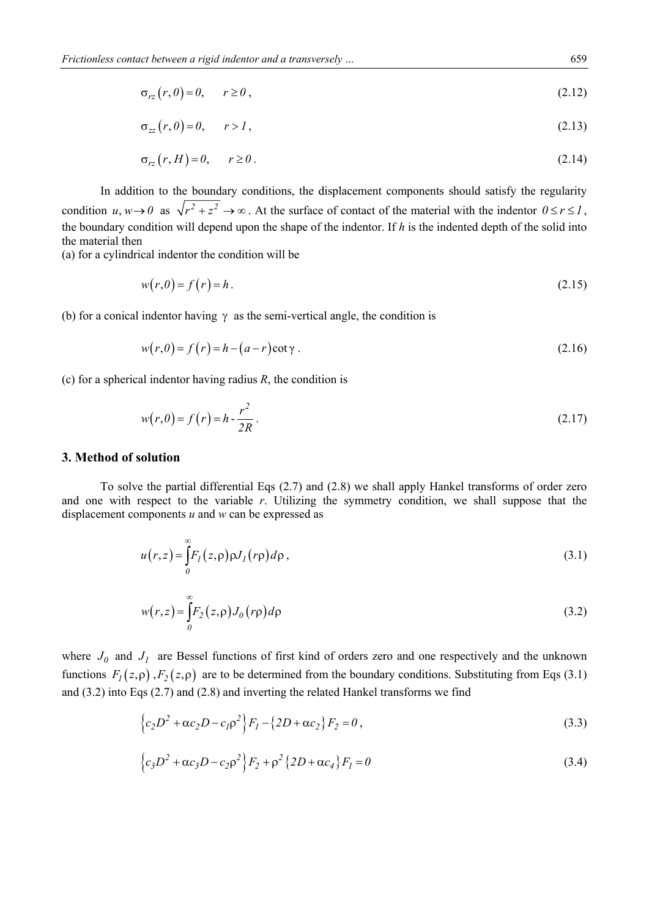$$
\sigma_{rz}(r,\theta) = \theta, \qquad r \ge 0 \tag{2.12}
$$

$$
\sigma_{zz}(r,\theta) = 0, \qquad r > 1 \,, \tag{2.13}
$$

$$
\sigma_{rz}(r, H) = 0, \qquad r \ge 0. \tag{2.14}
$$

 In addition to the boundary conditions, the displacement components should satisfy the regularity condition  $u, w \to 0$  as  $\sqrt{r^2 + z^2} \to \infty$ . At the surface of contact of the material with the indentor  $0 \le r \le 1$ , the boundary condition will depend upon the shape of the indentor. If *h* is the indented depth of the solid into the material then

(a) for a cylindrical indentor the condition will be

$$
w(r,0) = f(r) = h. \tag{2.15}
$$

(b) for a conical indentor having  $\gamma$  as the semi-vertical angle, the condition is

$$
w(r,0) = f(r) = h - (a-r)\cot\gamma
$$
 (2.16)

(c) for a spherical indentor having radius *R*, the condition is

$$
w(r,0) = f(r) = h - \frac{r^2}{2R} \,. \tag{2.17}
$$

#### **3. Method of solution**

 To solve the partial differential Eqs (2.7) and (2.8) we shall apply Hankel transforms of order zero and one with respect to the variable *r*. Utilizing the symmetry condition, we shall suppose that the displacement components *u* and *w* can be expressed as

$$
u(r,z) = \int_{0}^{\infty} F_{I}(z,\rho)\rho J_{I}(r\rho)d\rho, \qquad (3.1)
$$

$$
w(r,z) = \int_{0}^{\infty} F_2(z,\rho) J_0(r\rho) d\rho
$$
\n(3.2)

where  $J_0$  and  $J_1$  are Bessel functions of first kind of orders zero and one respectively and the unknown functions  $F_1(z, \rho)$ ,  $F_2(z, \rho)$  are to be determined from the boundary conditions. Substituting from Eqs (3.1) and (3.2) into Eqs (2.7) and (2.8) and inverting the related Hankel transforms we find

$$
\left\{c_2D^2 + \alpha c_2D - c_1\rho^2\right\}F_1 - \left\{2D + \alpha c_2\right\}F_2 = 0\,,\tag{3.3}
$$

$$
\left\{c_3D^2 + \alpha c_3D - c_2\rho^2\right\}F_2 + \rho^2\left\{2D + \alpha c_4\right\}F_1 = 0\tag{3.4}
$$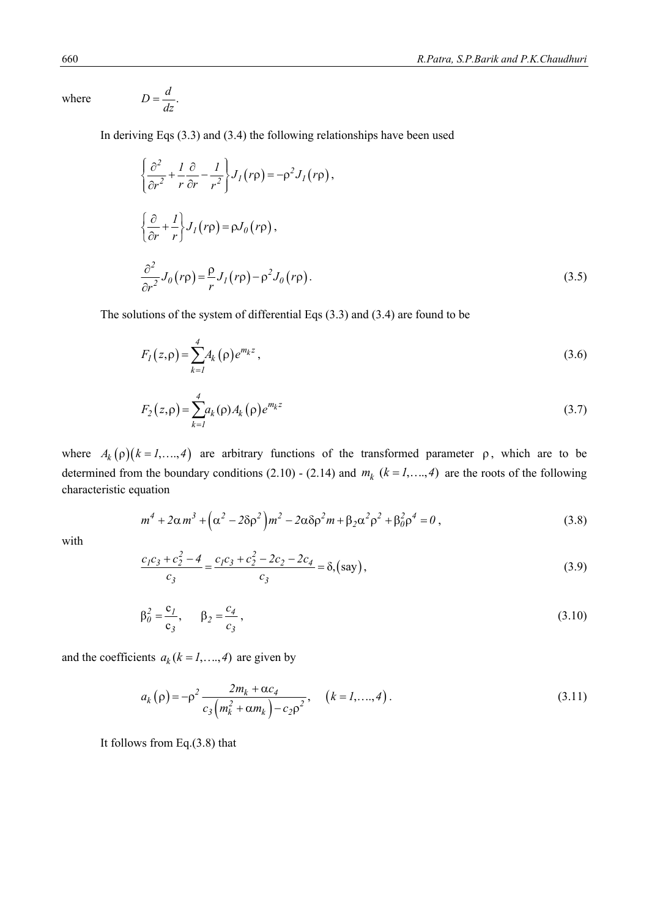$where$ 

$$
D=\frac{d}{dz}.
$$

In deriving Eqs (3.3) and (3.4) the following relationships have been used

$$
\begin{cases}\n\frac{\partial^2}{\partial r^2} + \frac{I}{r} \frac{\partial}{\partial r} - \frac{I}{r^2}\right\} J_I(r\rho) = -\rho^2 J_I(r\rho), \\
\frac{\partial}{\partial r} + \frac{I}{r}\Big\} J_I(r\rho) = \rho J_0(r\rho), \\
\frac{\partial^2}{\partial r^2} J_0(r\rho) = \frac{\rho}{r} J_I(r\rho) - \rho^2 J_0(r\rho).\n\end{cases}
$$
\n(3.5)

The solutions of the system of differential Eqs (3.3) and (3.4) are found to be

$$
F_I(z,\rho) = \sum_{k=1}^{4} A_k(\rho) e^{m_k z},
$$
\n(3.6)

$$
F_2(z,\rho) = \sum_{k=1}^{4} a_k(\rho) A_k(\rho) e^{m_k z}
$$
 (3.7)

where  $A_k(\rho)(k = 1, ..., 4)$  are arbitrary functions of the transformed parameter  $\rho$ , which are to be determined from the boundary conditions (2.10) - (2.14) and  $m_k$  ( $k = 1, ..., 4$ ) are the roots of the following characteristic equation

$$
m^{4} + 2\alpha m^{3} + (\alpha^{2} - 2\delta\rho^{2})m^{2} - 2\alpha\delta\rho^{2}m + \beta_{2}\alpha^{2}\rho^{2} + \beta_{0}^{2}\rho^{4} = 0,
$$
\n(3.8)

with

$$
\frac{c_1c_3 + c_2^2 - 4}{c_3} = \frac{c_1c_3 + c_2^2 - 2c_2 - 2c_4}{c_3} = \delta
$$
\n(say)

$$
\beta_0^2 = \frac{c_1}{c_3}, \qquad \beta_2 = \frac{c_4}{c_3}, \tag{3.10}
$$

and the coefficients  $a_k$  ( $k = 1, ..., 4$ ) are given by

$$
a_k(\rho) = -\rho^2 \frac{2m_k + \alpha c_4}{c_3 \left(m_k^2 + \alpha m_k\right) - c_2 \rho^2}, \quad (k = 1, ..., 4).
$$
\n(3.11)

It follows from Eq.(3.8) that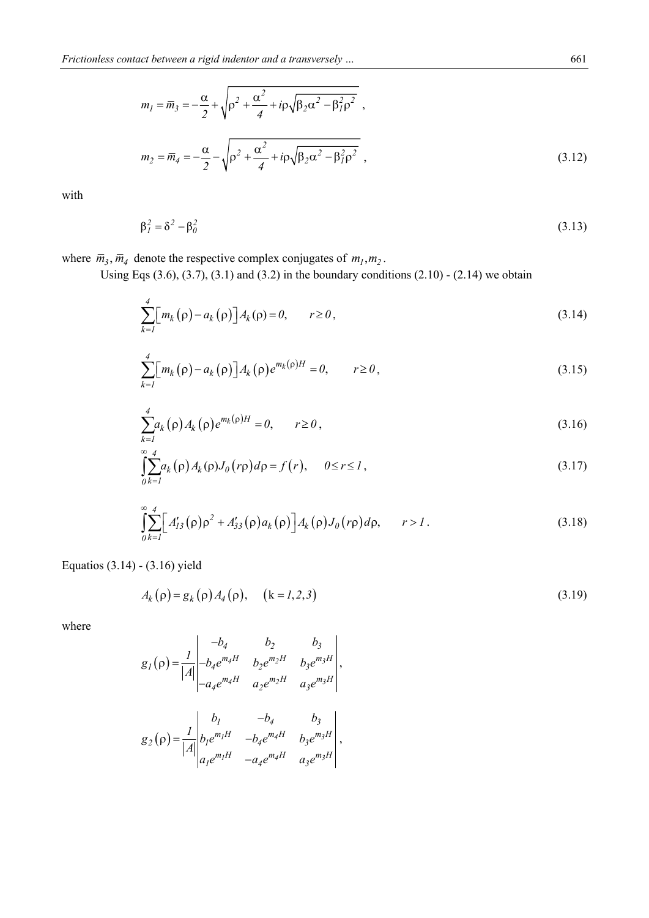$$
m_1 = \overline{m}_3 = -\frac{\alpha}{2} + \sqrt{\rho^2 + \frac{\alpha^2}{4} + i\rho\sqrt{\beta_2\alpha^2 - \beta_1^2\rho^2}} ,
$$
  

$$
m_2 = \overline{m}_4 = -\frac{\alpha}{2} - \sqrt{\rho^2 + \frac{\alpha^2}{4} + i\rho\sqrt{\beta_2\alpha^2 - \beta_1^2\rho^2}} ,
$$
 (3.12)

with

$$
\beta_I^2 = \delta^2 - \beta_0^2 \tag{3.13}
$$

where  $\bar{m}_3$ ,  $\bar{m}_4$  denote the respective complex conjugates of  $m_1, m_2$ .

Using Eqs  $(3.6)$ ,  $(3.7)$ ,  $(3.1)$  and  $(3.2)$  in the boundary conditions  $(2.10)$  -  $(2.14)$  we obtain

$$
\sum_{k=1}^{4} \left[ m_k(\rho) - a_k(\rho) \right] A_k(\rho) = 0, \qquad r \ge 0,
$$
\n(3.14)

$$
\sum_{k=1}^{4} \left[ m_k(\rho) - a_k(\rho) \right] A_k(\rho) e^{m_k(\rho)H} = 0, \qquad r \ge 0,
$$
\n(3.15)

$$
\sum_{k=1}^{4} a_k(\rho) A_k(\rho) e^{m_k(\rho)H} = 0, \qquad r \ge 0,
$$
\n(3.16)

$$
\int_{0}^{\infty} \sum_{k=1}^{4} a_k(\rho) A_k(\rho) J_0(r\rho) d\rho = f(r), \quad 0 \le r \le 1,
$$
\n(3.17)

$$
\int_{0}^{\infty} \sum_{k=1}^{4} \Big[ A'_{13}(\rho) \rho^2 + A'_{33}(\rho) a_k(\rho) \Big] A_k(\rho) J_0(r\rho) d\rho, \qquad r > 1.
$$
 (3.18)

Equatios (3.14) - (3.16) yield

$$
A_k(\rho) = g_k(\rho) A_4(\rho), \quad (k = 1, 2, 3)
$$
\n(3.19)

where

$$
g_{I}(\rho) = \frac{1}{|A|} \begin{vmatrix} -b_{4} & b_{2} & b_{3} \\ -b_{4}e^{m_{4}H} & b_{2}e^{m_{2}H} & b_{3}e^{m_{3}H} \\ -a_{4}e^{m_{4}H} & a_{2}e^{m_{2}H} & a_{3}e^{m_{3}H} \end{vmatrix},
$$

$$
g_{2}(\rho) = \frac{1}{|A|} \begin{vmatrix} b_{I} & -b_{4} & b_{3} \\ b_{I}e^{m_{1}H} & -b_{4}e^{m_{4}H} & b_{3}e^{m_{3}H} \\ a_{I}e^{m_{1}H} & -a_{4}e^{m_{4}H} & a_{3}e^{m_{3}H} \end{vmatrix},
$$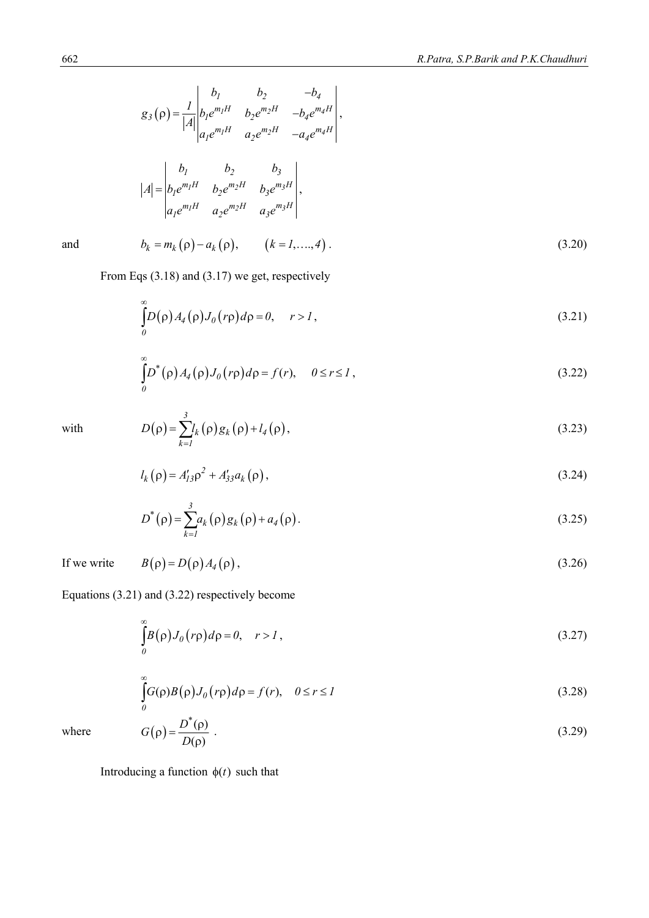$$
g_3(\rho) = \frac{1}{|A|} \begin{vmatrix} b_1 & b_2 & -b_4 \\ b_1 e^{m_1 H} & b_2 e^{m_2 H} & -b_4 e^{m_4 H} \\ a_1 e^{m_1 H} & a_2 e^{m_2 H} & -a_4 e^{m_4 H} \end{vmatrix},
$$
  

$$
|A| = \begin{vmatrix} b_1 & b_2 & b_3 \\ b_1 e^{m_1 H} & b_2 e^{m_2 H} & b_3 e^{m_3 H} \\ a_1 e^{m_1 H} & a_2 e^{m_2 H} & a_3 e^{m_3 H} \end{vmatrix},
$$

and 
$$
b_k = m_k(\rho) - a_k(\rho), \qquad (k = 1, ..., 4)
$$
. (3.20)

From Eqs (3.18) and (3.17) we get, respectively

$$
\int_{0}^{\infty} D(\rho) A_4(\rho) J_0(r\rho) d\rho = 0, \quad r > 1,
$$
\n(3.21)

$$
\int_{0}^{\infty} D^*(\rho) A_4(\rho) J_0(r\rho) d\rho = f(r), \quad 0 \le r \le 1,
$$
\n(3.22)

with 
$$
D(\rho) = \sum_{k=1}^{3} l_k(\rho) g_k(\rho) + l_4(\rho),
$$
 (3.23)

$$
l_k(\rho) = A'_{13}\rho^2 + A'_{33}a_k(\rho),
$$
\n(3.24)

$$
D^*(\rho) = \sum_{k=1}^3 a_k(\rho) g_k(\rho) + a_4(\rho).
$$
 (3.25)

If we write  $B(\rho) = D(\rho) A_4(\rho)$ , (3.26)

Equations (3.21) and (3.22) respectively become

$$
\int_{0}^{\infty} B(\rho) J_0(r\rho) d\rho = 0, \quad r > 1,
$$
\n(3.27)

$$
\int_{0}^{\infty} G(\rho)B(\rho)J_0(r\rho)d\rho = f(r), \quad 0 \le r \le I
$$
\n(3.28)

$$
G(\rho) = \frac{D^*(\rho)}{D(\rho)}\tag{3.29}
$$

where  $\qquad \qquad$   $G$ 

Introducing a function  $\phi(t)$  such that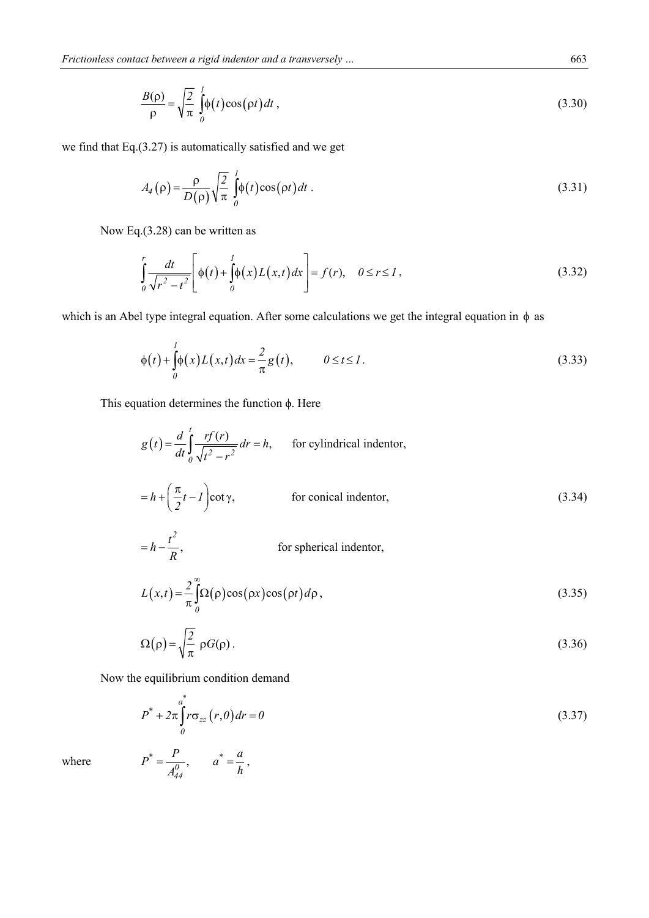$$
\frac{B(\rho)}{\rho} = \sqrt{\frac{2}{\pi}} \int_{0}^{1} \phi(t) \cos(\rho t) dt,
$$
\n(3.30)

we find that Eq.(3.27) is automatically satisfied and we get

$$
A_4(\rho) = \frac{\rho}{D(\rho)} \sqrt{\frac{2}{\pi}} \int_0^1 \phi(t) \cos(\rho t) dt
$$
 (3.31)

Now Eq.(3.28) can be written as

$$
\int_{0}^{r} \frac{dt}{\sqrt{r^2 - t^2}} \left[ \phi(t) + \int_{0}^{1} \phi(x) L(x, t) dx \right] = f(r), \quad 0 \le r \le 1,
$$
\n(3.32)

which is an Abel type integral equation. After some calculations we get the integral equation in  $\phi$  as

$$
\phi(t) + \int_{0}^{1} \phi(x)L(x,t)dx = \frac{2}{\pi}g(t), \qquad 0 \le t \le 1.
$$
 (3.33)

This equation determines the function ϕ. Here

$$
g(t) = \frac{d}{dt} \int_{0}^{t} \frac{rf(r)}{\sqrt{t^2 - r^2}} dr = h,
$$
 for cylindrical indentor,  

$$
= h + \left(\frac{\pi}{2}t - 1\right) \cot \gamma,
$$
 for conical indentor,  

$$
= h - \frac{t^2}{2},
$$
 for spherical indentor, (3.34)

$$
= h - \frac{\iota}{R}, \qquad \text{for spherical indentor,}
$$

$$
L(x,t) = \frac{2}{\pi} \int_{0}^{\infty} \Omega(\rho) \cos(\rho x) \cos(\rho t) d\rho,
$$
(3.35)

$$
\Omega(\rho) = \sqrt{\frac{2}{\pi}} \rho G(\rho) \,. \tag{3.36}
$$

Now the equilibrium condition demand

$$
P^* + 2\pi \int_0^a r \sigma_{zz}(r,0) dr = 0
$$
\n(3.37)

where  $P$ 

$$
P^* = \frac{P}{A_{44}^0}, \qquad a^* = \frac{a}{h},
$$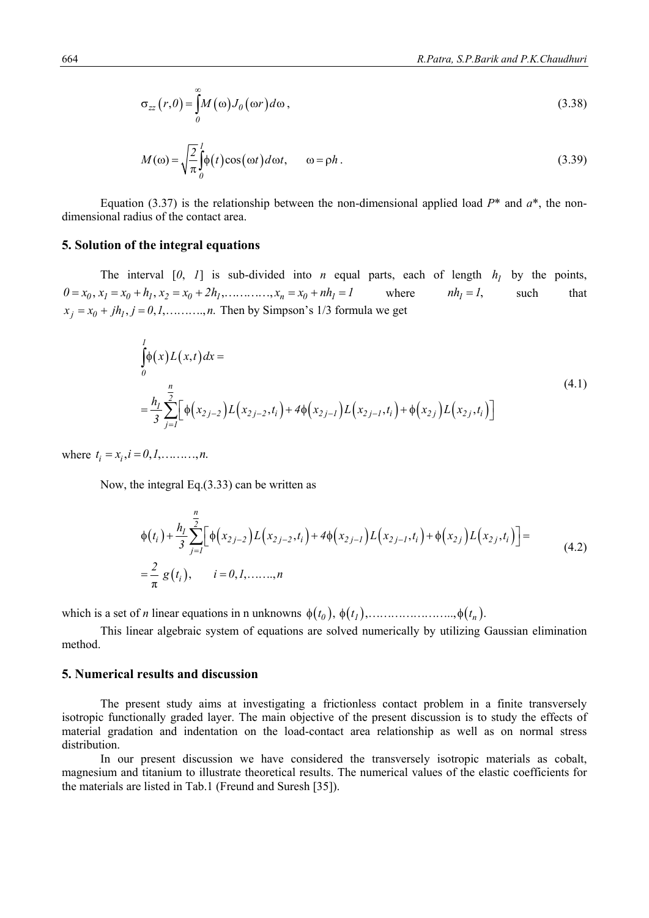$$
\sigma_{zz}(r,\theta) = \int_{0}^{\infty} M(\omega) J_{\theta}(\omega r) d\omega,
$$
\n(3.38)

$$
M(\omega) = \sqrt{\frac{2}{\pi}} \int_{0}^{1} \phi(t) \cos(\omega t) d\omega t, \qquad \omega = \rho h.
$$
 (3.39)

Equation (3.37) is the relationship between the non-dimensional applied load  $P^*$  and  $a^*$ , the nondimensional radius of the contact area.

# **5. Solution of the integral equations**

The interval  $[0, 1]$  is sub-divided into *n* equal parts, each of length  $h_1$  by the points,  $0 = x_0, x_1 = x_0 + h_1, x_2 = x_0 + 2h_1, \dots, x_n = x_0 + nh_1 = 1$  where  $nh_1 = 1$ , such that  $x_i = x_0 + jh_1, j = 0, 1, \dots, n$ . Then by Simpson's 1/3 formula we get

$$
\int_{0}^{1} \phi(x)L(x,t)dx =
$$
\n
$$
= \frac{h_{1}}{3} \sum_{j=1}^{n} \Big[ \phi(x_{2j-2})L(x_{2j-2},t_{i}) + 4\phi(x_{2j-1})L(x_{2j-1},t_{i}) + \phi(x_{2j})L(x_{2j},t_{i}) \Big]
$$
\n(4.1)

where  $t_i = x_i, i = 0, 1, \dots, n$ .

Now, the integral Eq.(3.33) can be written as

$$
\phi(t_i) + \frac{h_j}{3} \sum_{j=1}^n \Big[ \phi(x_{2j-2}) L(x_{2j-2}, t_i) + 4 \phi(x_{2j-1}) L(x_{2j-1}, t_i) + \phi(x_{2j}) L(x_{2j}, t_i) \Big] =
$$
\n
$$
= \frac{2}{\pi} g(t_i), \qquad i = 0, 1, \dots, n
$$
\n(4.2)

which is a set of *n* linear equations in n unknowns *tt t 01 n* , , .., .

 This linear algebraic system of equations are solved numerically by utilizing Gaussian elimination method.

#### **5. Numerical results and discussion**

 The present study aims at investigating a frictionless contact problem in a finite transversely isotropic functionally graded layer. The main objective of the present discussion is to study the effects of material gradation and indentation on the load-contact area relationship as well as on normal stress distribution.

 In our present discussion we have considered the transversely isotropic materials as cobalt, magnesium and titanium to illustrate theoretical results. The numerical values of the elastic coefficients for the materials are listed in Tab.1 (Freund and Suresh [35]).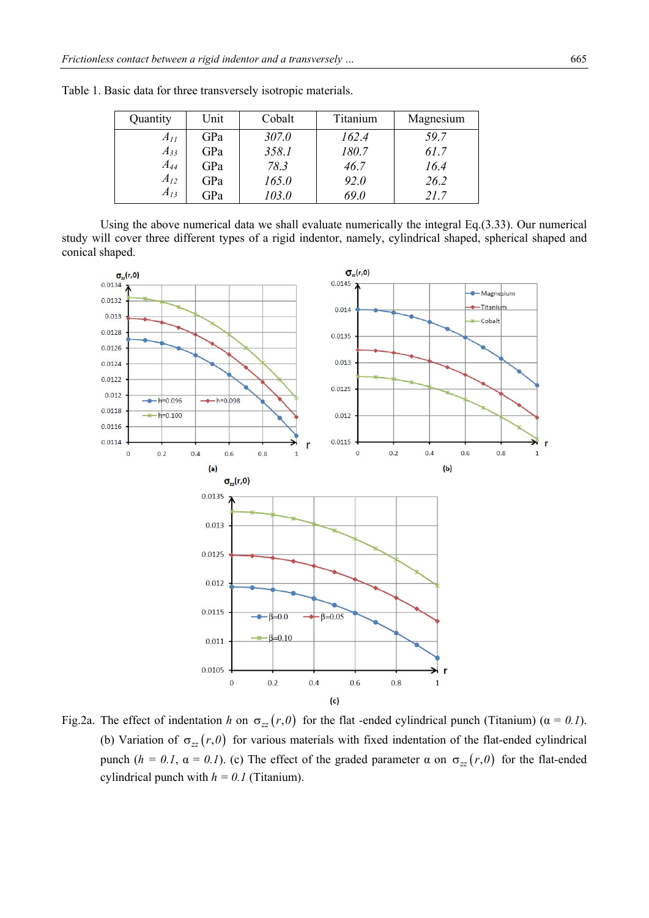| Quantity | Unit | Cobalt | Titanium | Magnesium |
|----------|------|--------|----------|-----------|
| $A_{II}$ | GPa  | 307.0  | 162.4    | 59.7      |
| $A_{33}$ | GPa  | 358.1  | 180.7    | 61.7      |
| $A_{44}$ | GPa  | 78.3   | 46.7     | 16.4      |
| $A_{12}$ | GPa  | 165.0  | 92.0     | 26.2      |
| $A_{13}$ | GPa  | 103.0  | 69.0     | 21.7      |

Table 1. Basic data for three transversely isotropic materials.

 Using the above numerical data we shall evaluate numerically the integral Eq.(3.33). Our numerical study will cover three different types of a rigid indentor, namely, cylindrical shaped, spherical shaped and conical shaped.



Fig.2a. The effect of indentation *h* on  $\sigma_{zz}(r,0)$  for the flat -ended cylindrical punch (Titanium) ( $\alpha = 0.1$ ). (b) Variation of  $\sigma_{zz}(r,0)$  for various materials with fixed indentation of the flat-ended cylindrical punch  $(h = 0.1, \alpha = 0.1)$ . (c) The effect of the graded parameter  $\alpha$  on  $\sigma_{zz}(r, \theta)$  for the flat-ended cylindrical punch with  $h = 0.1$  (Titanium).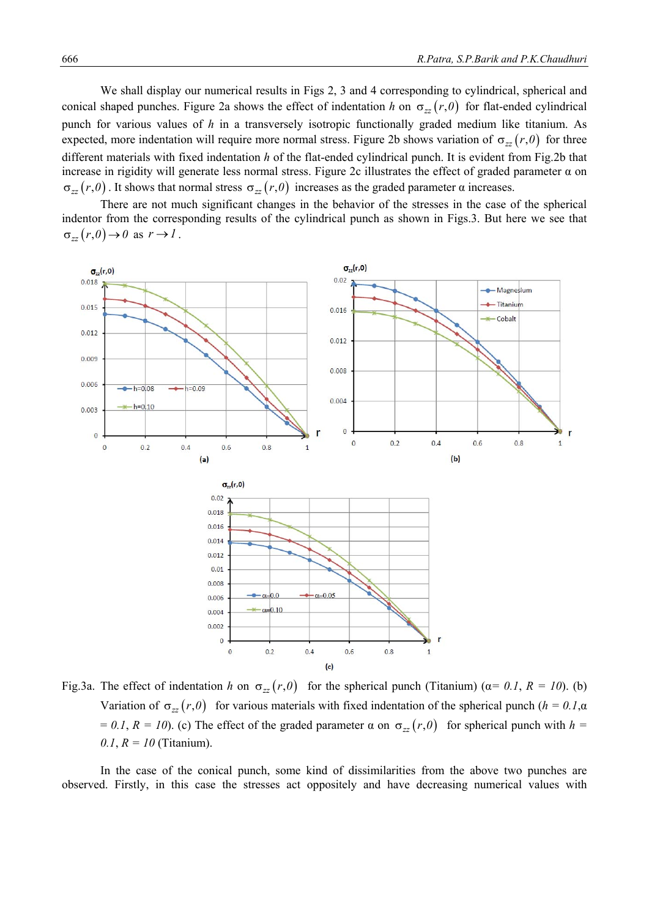We shall display our numerical results in Figs 2, 3 and 4 corresponding to cylindrical, spherical and conical shaped punches. Figure 2a shows the effect of indentation *h* on  $\sigma_{zz}(r,0)$  for flat-ended cylindrical punch for various values of *h* in a transversely isotropic functionally graded medium like titanium. As expected, more indentation will require more normal stress. Figure 2b shows variation of  $\sigma_{\gamma}(r,0)$  for three different materials with fixed indentation *h* of the flat-ended cylindrical punch. It is evident from Fig.2b that increase in rigidity will generate less normal stress. Figure 2c illustrates the effect of graded parameter α on  $\sigma_{zz}(r, \theta)$ . It shows that normal stress  $\sigma_{zz}(r, \theta)$  increases as the graded parameter  $\alpha$  increases.

 There are not much significant changes in the behavior of the stresses in the case of the spherical indentor from the corresponding results of the cylindrical punch as shown in Figs.3. But here we see that  $\sigma_{zz}(r, \theta) \rightarrow \theta$  as  $r \rightarrow 1$ .



Fig.3a. The effect of indentation *h* on  $\sigma_{zz}(r,0)$  for the spherical punch (Titanium) ( $\alpha = 0.1$ ,  $R = 10$ ). (b) Variation of  $\sigma_{zz}(r,0)$  for various materials with fixed indentation of the spherical punch ( $h = 0.1$ ,α  $= 0.1, R = 10$ ). (c) The effect of the graded parameter  $\alpha$  on  $\sigma_{zz}(r, \theta)$  for spherical punch with  $h =$ *0.1*, *R = 10* (Titanium).

 In the case of the conical punch, some kind of dissimilarities from the above two punches are observed. Firstly, in this case the stresses act oppositely and have decreasing numerical values with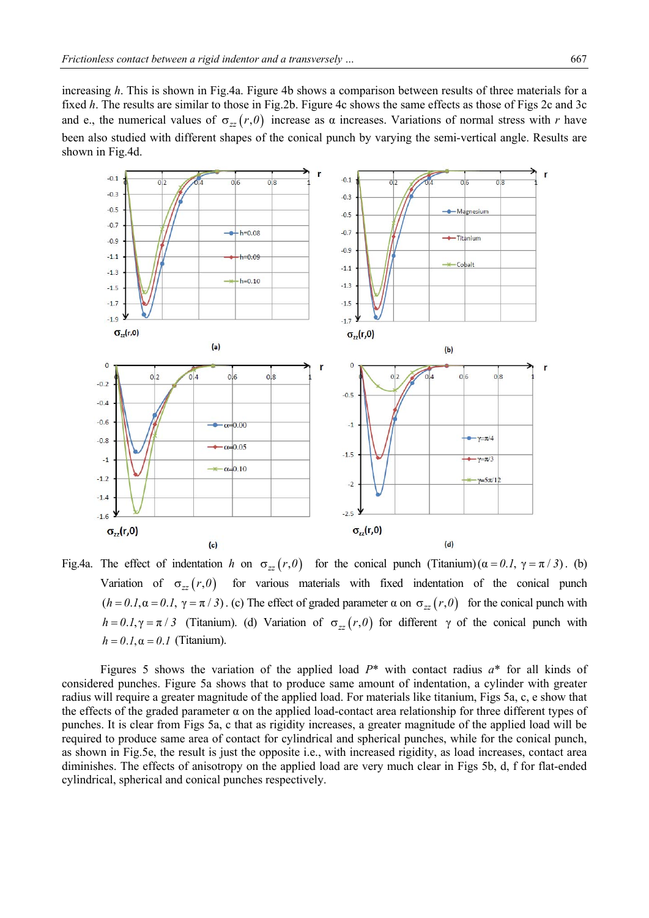increasing *h*. This is shown in Fig.4a. Figure 4b shows a comparison between results of three materials for a fixed *h*. The results are similar to those in Fig.2b. Figure 4c shows the same effects as those of Figs 2c and 3c and e., the numerical values of  $\sigma_{zz}(r, \theta)$  increase as  $\alpha$  increases. Variations of normal stress with *r* have been also studied with different shapes of the conical punch by varying the semi-vertical angle. Results are shown in Fig.4d.



Fig.4a. The effect of indentation *h* on  $\sigma_{zz}(r,0)$  for the conical punch (Titanium) ( $\alpha = 0.1$ ,  $\gamma = \pi / 3$ ). (b) Variation of  $\sigma_{zz}(r,0)$  for various materials with fixed indentation of the conical punch  $(h = 0.1, \alpha = 0.1, \gamma = \pi / 3)$ . (c) The effect of graded parameter  $\alpha$  on  $\sigma_{zz}(r, 0)$  for the conical punch with *h* = 0.1,  $\gamma$  =  $\pi$  / 3 (Titanium). (d) Variation of  $\sigma_{zz}(r,0)$  for different  $\gamma$  of the conical punch with  $h = 0.1$ ,  $\alpha = 0.1$  (Titanium).

 Figures 5 shows the variation of the applied load *P*\* with contact radius *a*\* for all kinds of considered punches. Figure 5a shows that to produce same amount of indentation, a cylinder with greater radius will require a greater magnitude of the applied load. For materials like titanium, Figs 5a, c, e show that the effects of the graded parameter  $\alpha$  on the applied load-contact area relationship for three different types of punches. It is clear from Figs 5a, c that as rigidity increases, a greater magnitude of the applied load will be required to produce same area of contact for cylindrical and spherical punches, while for the conical punch, as shown in Fig.5e, the result is just the opposite i.e., with increased rigidity, as load increases, contact area diminishes. The effects of anisotropy on the applied load are very much clear in Figs 5b, d, f for flat-ended cylindrical, spherical and conical punches respectively.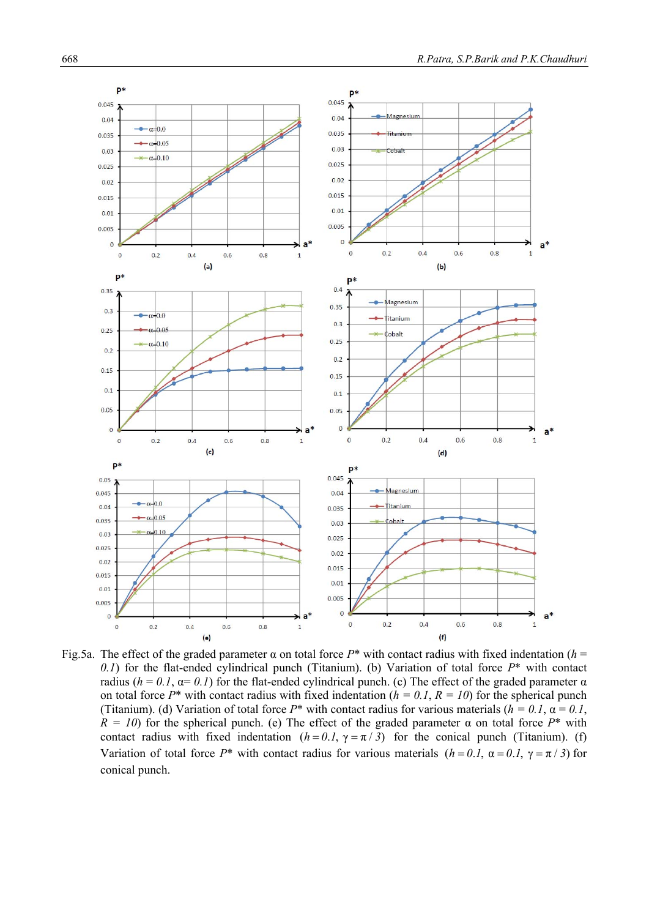

Fig.5a. The effect of the graded parameter  $\alpha$  on total force  $P^*$  with contact radius with fixed indentation ( $h =$ *0.1*) for the flat-ended cylindrical punch (Titanium). (b) Variation of total force *P*\* with contact radius ( $h = 0.1$ ,  $α = 0.1$ ) for the flat-ended cylindrical punch. (c) The effect of the graded parameter  $α$ on total force  $P^*$  with contact radius with fixed indentation ( $h = 0.1$ ,  $R = 10$ ) for the spherical punch (Titanium). (d) Variation of total force  $P^*$  with contact radius for various materials ( $h = 0.1$ ,  $\alpha = 0.1$ ,  $\hat{R} = 10$ ) for the spherical punch. (e) The effect of the graded parameter  $\alpha$  on total force  $P^*$  with contact radius with fixed indentation  $(h = 0.1, \gamma = \pi / 3)$  for the conical punch (Titanium). (f) Variation of total force *P*\* with contact radius for various materials  $(h = 0.1, \alpha = 0.1, \gamma = \pi / 3)$  for conical punch.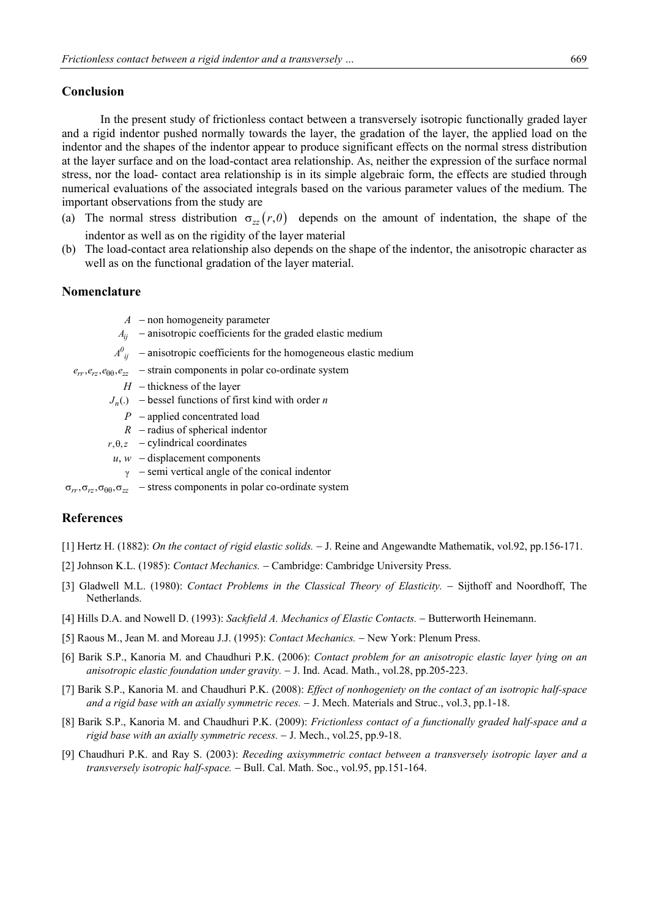#### **Conclusion**

 In the present study of frictionless contact between a transversely isotropic functionally graded layer and a rigid indentor pushed normally towards the layer, the gradation of the layer, the applied load on the indentor and the shapes of the indentor appear to produce significant effects on the normal stress distribution at the layer surface and on the load-contact area relationship. As, neither the expression of the surface normal stress, nor the load- contact area relationship is in its simple algebraic form, the effects are studied through numerical evaluations of the associated integrals based on the various parameter values of the medium. The important observations from the study are

- (a) The normal stress distribution  $\sigma_{zz}(r,0)$  depends on the amount of indentation, the shape of the indentor as well as on the rigidity of the layer material
- (b) The load-contact area relationship also depends on the shape of the indentor, the anisotropic character as well as on the functional gradation of the layer material.

# **Nomenclature**

- $A$  non homogeneity parameter
- $A_{ii}$  anisotropic coefficients for the graded elastic medium
- $A^0_{ij}$  anisotropic coefficients for the homogeneous elastic medium
- $e_{rr}, e_{rz}, e_{\theta\theta}, e_{zz}$  strain components in polar co-ordinate system
	- $H$  thickness of the layer
	- $J_n()$  bessel functions of first kind with order *n* 
		- $P$  applied concentrated load
		- $R$  radius of spherical indentor
	- $r, \theta, z$  cylindrical coordinates
	- $u, w$  displacement components
		- $\gamma$  semi vertical angle of the conical indentor

 $\sigma_{rr}, \sigma_{rz}, \sigma_{\theta\theta}, \sigma_{zz}$  – stress components in polar co-ordinate system

## **References**

- [1] Hertz H. (1882): *On the contact of rigid elastic solids.* J. Reine and Angewandte Mathematik, vol.92, pp.156-171.
- [2] Johnson K.L. (1985): *Contact Mechanics.* Cambridge: Cambridge University Press.
- [3] Gladwell M.L. (1980): *Contact Problems in the Classical Theory of Elasticity.* Sijthoff and Noordhoff, The Netherlands.
- [4] Hills D.A. and Nowell D. (1993): *Sackfield A. Mechanics of Elastic Contacts.* Butterworth Heinemann.
- [5] Raous M., Jean M. and Moreau J.J. (1995): *Contact Mechanics.* New York: Plenum Press.
- [6] Barik S.P., Kanoria M. and Chaudhuri P.K. (2006): *Contact problem for an anisotropic elastic layer lying on an anisotropic elastic foundation under gravity.* J. Ind. Acad. Math., vol.28, pp.205-223.
- [7] Barik S.P., Kanoria M. and Chaudhuri P.K. (2008): *Effect of nonhogeniety on the contact of an isotropic half-space and a rigid base with an axially symmetric reces.*  $-$  J. Mech. Materials and Struc., vol.3, pp.1-18.
- [8] Barik S.P., Kanoria M. and Chaudhuri P.K. (2009): *Frictionless contact of a functionally graded half-space and a rigid base with an axially symmetric recess.*  $-$  J. Mech., vol.25, pp.9-18.
- [9] Chaudhuri P.K. and Ray S. (2003): *Receding axisymmetric contact between a transversely isotropic layer and a*  transversely isotropic half-space. - Bull. Cal. Math. Soc., vol.95, pp.151-164.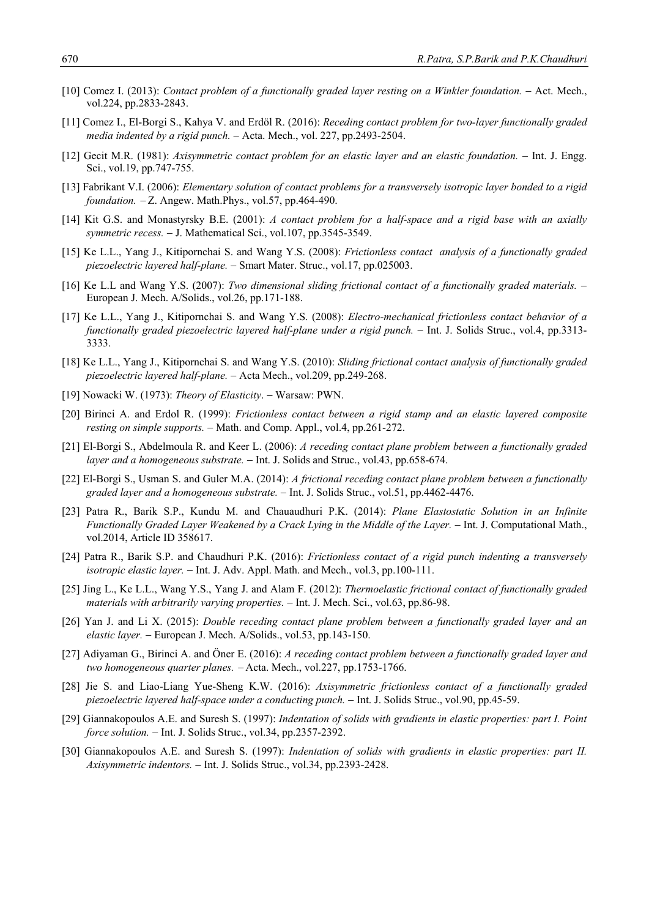- [10] Comez I. (2013): *Contact problem of a functionally graded layer resting on a Winkler foundation.* Act. Mech., vol.224, pp.2833-2843.
- [11] Comez I., El-Borgi S., Kahya V. and Erdöl R. (2016): *Receding contact problem for two-layer functionally graded media indented by a rigid punch.* Acta. Mech., vol. 227, pp.2493-2504.
- [12] Gecit M.R. (1981): *Axisymmetric contact problem for an elastic layer and an elastic foundation.* Int. J. Engg. Sci., vol.19, pp.747-755.
- [13] Fabrikant V.I. (2006): *Elementary solution of contact problems for a transversely isotropic layer bonded to a rigid foundation.* - Z. Angew. Math.Phys., vol.57, pp.464-490.
- [14] Kit G.S. and Monastyrsky B.E. (2001): *A contact problem for a half-space and a rigid base with an axially symmetric recess.* - J. Mathematical Sci., vol.107, pp.3545-3549.
- [15] Ke L.L., Yang J., Kitipornchai S. and Wang Y.S. (2008): *Frictionless contact analysis of a functionally graded piezoelectric layered half-plane.* – Smart Mater. Struc., vol.17, pp.025003.
- [16] Ke L.L and Wang Y.S. (2007): *Two dimensional sliding frictional contact of a functionally graded materials.* European J. Mech. A/Solids., vol.26, pp.171-188.
- [17] Ke L.L., Yang J., Kitipornchai S. and Wang Y.S. (2008): *Electro-mechanical frictionless contact behavior of a functionally graded piezoelectric layered half-plane under a rigid punch.* – Int. J. Solids Struc., vol.4, pp.3313-3333.
- [18] Ke L.L., Yang J., Kitipornchai S. and Wang Y.S. (2010): *Sliding frictional contact analysis of functionally graded piezoelectric layered half-plane.*  Acta Mech., vol.209, pp.249-268.
- [19] Nowacki W. (1973): *Theory of Elasticity*. Warsaw: PWN.
- [20] Birinci A. and Erdol R. (1999): *Frictionless contact between a rigid stamp and an elastic layered composite resting on simple supports.* – Math. and Comp. Appl., vol.4, pp.261-272.
- [21] El-Borgi S., Abdelmoula R. and Keer L. (2006): *A receding contact plane problem between a functionally graded layer and a homogeneous substrate.* – Int. J. Solids and Struc., vol.43, pp.658-674.
- [22] El-Borgi S., Usman S. and Guler M.A. (2014): *A frictional receding contact plane problem between a functionally graded layer and a homogeneous substrate.* Int. J. Solids Struc., vol.51, pp.4462-4476.
- [23] Patra R., Barik S.P., Kundu M. and Chauaudhuri P.K. (2014): *Plane Elastostatic Solution in an Infinite Functionally Graded Layer Weakened by a Crack Lying in the Middle of the Layer.* Int. J. Computational Math., vol.2014, Article ID 358617.
- [24] Patra R., Barik S.P. and Chaudhuri P.K. (2016): *Frictionless contact of a rigid punch indenting a transversely isotropic elastic layer.* – Int. J. Adv. Appl. Math. and Mech., vol.3, pp.100-111.
- [25] Jing L., Ke L.L., Wang Y.S., Yang J. and Alam F. (2012): *Thermoelastic frictional contact of functionally graded materials with arbitrarily varying properties.* – Int. J. Mech. Sci., vol.63, pp.86-98.
- [26] Yan J. and Li X. (2015): *Double receding contact plane problem between a functionally graded layer and an elastic layer.* European J. Mech. A/Solids., vol.53, pp.143-150.
- [27] Adiyaman G., Birinci A. and Öner E. (2016): *A receding contact problem between a functionally graded layer and two homogeneous quarter planes.*  Acta. Mech., vol.227, pp.1753-1766.
- [28] Jie S. and Liao-Liang Yue-Sheng K.W. (2016): *Axisymmetric frictionless contact of a functionally graded piezoelectric layered half-space under a conducting punch.*  $-$  Int. J. Solids Struc., vol.90, pp.45-59.
- [29] Giannakopoulos A.E. and Suresh S. (1997): *Indentation of solids with gradients in elastic properties: part I. Point force solution.* - Int. J. Solids Struc., vol.34, pp.2357-2392.
- [30] Giannakopoulos A.E. and Suresh S. (1997): *Indentation of solids with gradients in elastic properties: part II. Axisymmetric indentors.* Int. J. Solids Struc., vol.34, pp.2393-2428.